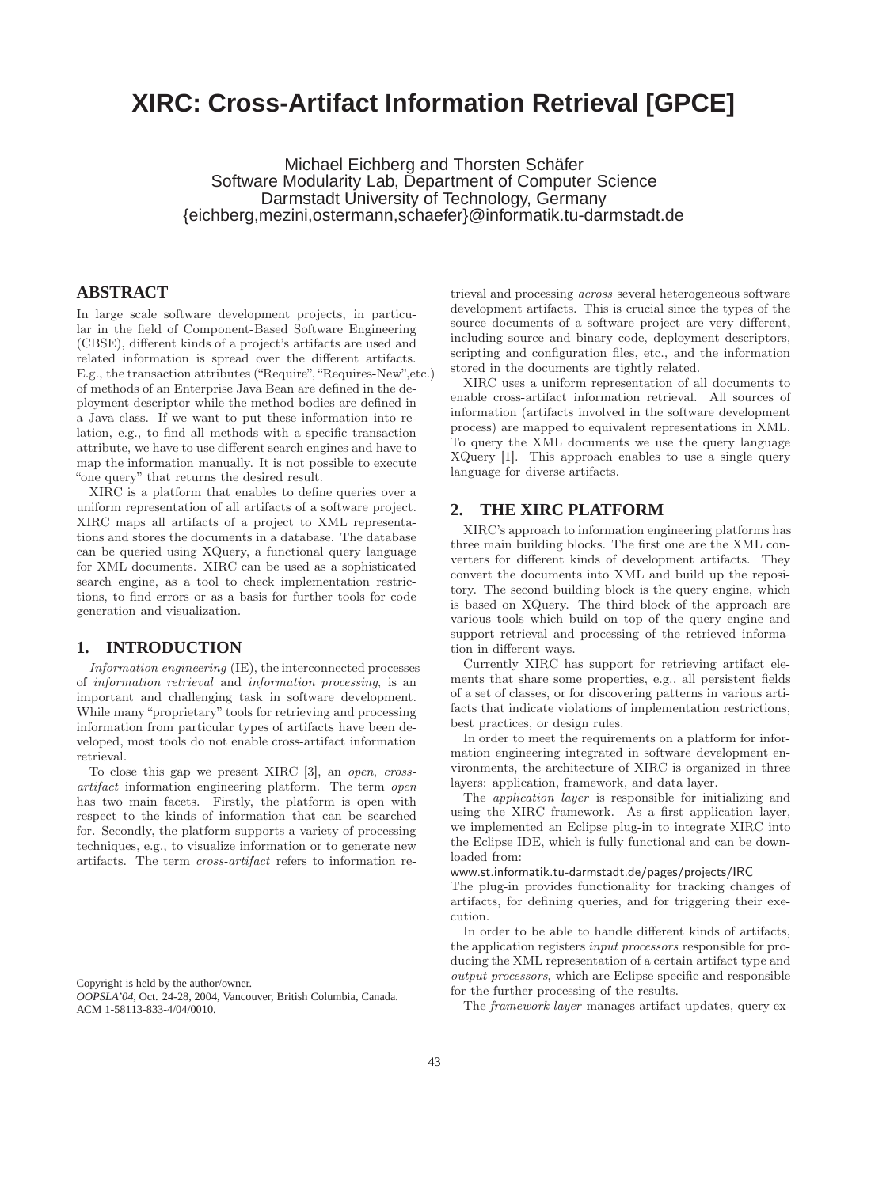# **XIRC: Cross-Artifact Information Retrieval [GPCE]**

Michael Eichberg and Thorsten Schäfer Software Modularity Lab, Department of Computer Science Darmstadt University of Technology, Germany {eichberg,mezini,ostermann,schaefer}@informatik.tu-darmstadt.de

## **ABSTRACT**

In large scale software development projects, in particular in the field of Component-Based Software Engineering (CBSE), different kinds of a project's artifacts are used and related information is spread over the different artifacts. E.g., the transaction attributes ("Require", "Requires-New",etc.) of methods of an Enterprise Java Bean are defined in the deployment descriptor while the method bodies are defined in a Java class. If we want to put these information into relation, e.g., to find all methods with a specific transaction attribute, we have to use different search engines and have to map the information manually. It is not possible to execute "one query" that returns the desired result.

XIRC is a platform that enables to define queries over a uniform representation of all artifacts of a software project. XIRC maps all artifacts of a project to XML representations and stores the documents in a database. The database can be queried using XQuery, a functional query language for XML documents. XIRC can be used as a sophisticated search engine, as a tool to check implementation restrictions, to find errors or as a basis for further tools for code generation and visualization.

## **1. INTRODUCTION**

*Information engineering* (IE), the interconnected processes of *information retrieval* and *information processing*, is an important and challenging task in software development. While many "proprietary" tools for retrieving and processing information from particular types of artifacts have been developed, most tools do not enable cross-artifact information retrieval.

To close this gap we present XIRC [3], an *open*, *crossartifact* information engineering platform. The term *open* has two main facets. Firstly, the platform is open with respect to the kinds of information that can be searched for. Secondly, the platform supports a variety of processing techniques, e.g., to visualize information or to generate new artifacts. The term *cross-artifact* refers to information re-

Copyright is held by the author/owner.

*OOPSLA'04,* Oct. 24-28, 2004, Vancouver, British Columbia, Canada. ACM 1-58113-833-4/04/0010.

trieval and processing *across* several heterogeneous software development artifacts. This is crucial since the types of the source documents of a software project are very different, including source and binary code, deployment descriptors, scripting and configuration files, etc., and the information stored in the documents are tightly related.

XIRC uses a uniform representation of all documents to enable cross-artifact information retrieval. All sources of information (artifacts involved in the software development process) are mapped to equivalent representations in XML. To query the XML documents we use the query language XQuery [1]. This approach enables to use a single query language for diverse artifacts.

## **2. THE XIRC PLATFORM**

XIRC's approach to information engineering platforms has three main building blocks. The first one are the XML converters for different kinds of development artifacts. They convert the documents into XML and build up the repository. The second building block is the query engine, which is based on XQuery. The third block of the approach are various tools which build on top of the query engine and support retrieval and processing of the retrieved information in different ways.

Currently XIRC has support for retrieving artifact elements that share some properties, e.g., all persistent fields of a set of classes, or for discovering patterns in various artifacts that indicate violations of implementation restrictions, best practices, or design rules.

In order to meet the requirements on a platform for information engineering integrated in software development environments, the architecture of XIRC is organized in three layers: application, framework, and data layer.

The *application layer* is responsible for initializing and using the XIRC framework. As a first application layer, we implemented an Eclipse plug-in to integrate XIRC into the Eclipse IDE, which is fully functional and can be downloaded from:

#### www.st.informatik.tu-darmstadt.de/pages/projects/IRC

The plug-in provides functionality for tracking changes of artifacts, for defining queries, and for triggering their execution.

In order to be able to handle different kinds of artifacts, the application registers *input processors* responsible for producing the XML representation of a certain artifact type and *output processors*, which are Eclipse specific and responsible for the further processing of the results.

The *framework layer* manages artifact updates, query ex-